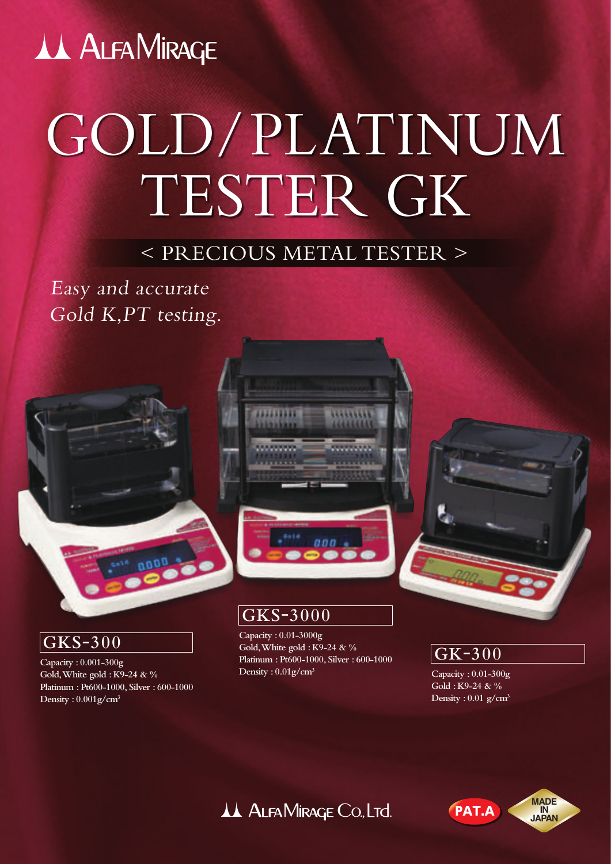# **AA ALFAMIRAGE**

# GOLD/PLATINUM TESTER GK

## < PRECIOUS METAL TESTER >

Easy and accurate Gold K,PT testing.





#### **GKS-3000**

**Capacity : 0.01-3000g Gold, White gold : K9-24 & % Platinum : Pt600-1000, Silver : 600-1000 Density : 0.01g/cm3**

**GK-300**

**Capacity : 0.01-300g Gold : K9-24 & % Density : 0.01 g/cm3**

### AA ALFAMIRAGE Co., LTd.



#### **GKS-300**

**Capacity : 0.001-300g Gold, White gold : K9-24 & % Platinum : Pt600-1000, Silver : 600-1000 Density : 0.001g/cm3**